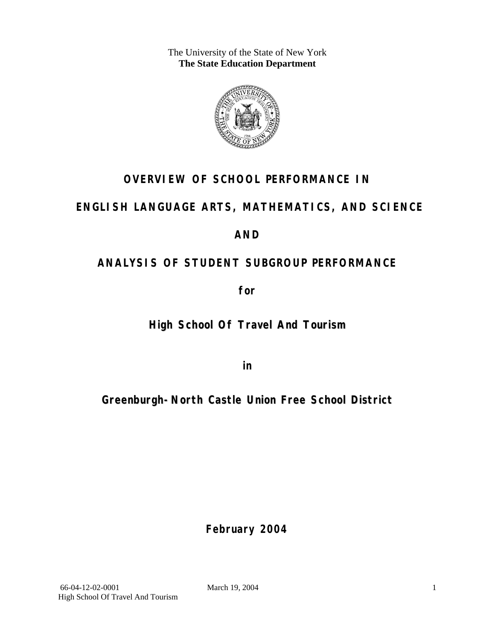The University of the State of New York **The State Education Department** 



# **OVERVIEW OF SCHOOL PERFORMANCE IN**

# **ENGLISH LANGUAGE ARTS, MATHEMATICS, AND SCIENCE**

# **AND**

# **ANALYSIS OF STUDENT SUBGROUP PERFORMANCE**

**for** 

# **High School Of Travel And Tourism**

**in** 

# **Greenburgh-North Castle Union Free School District**

**February 2004**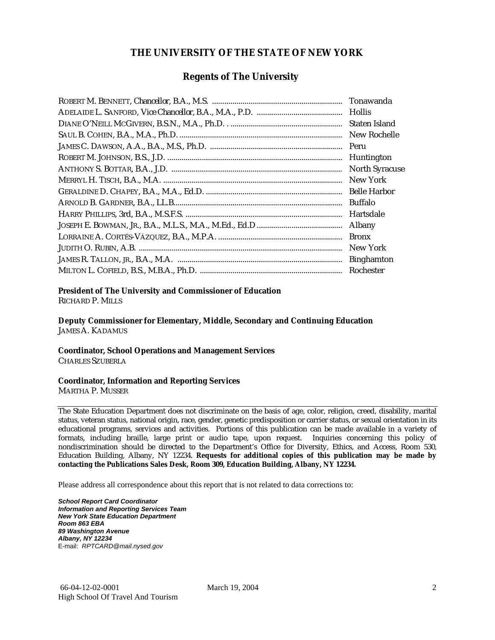### **THE UNIVERSITY OF THE STATE OF NEW YORK**

### **Regents of The University**

| Tonawanda             |
|-----------------------|
| <b>Hollis</b>         |
| Staten Island         |
| New Rochelle          |
| Peru                  |
| Huntington            |
| <b>North Syracuse</b> |
| New York              |
| <b>Belle Harbor</b>   |
| Buffalo               |
| Hartsdale             |
| Albany                |
| <b>Bronx</b>          |
| New York              |
| <b>Binghamton</b>     |
| Rochester             |

#### **President of The University and Commissioner of Education**

RICHARD P. MILLS

**Deputy Commissioner for Elementary, Middle, Secondary and Continuing Education**  JAMES A. KADAMUS

#### **Coordinator, School Operations and Management Services**

CHARLES SZUBERLA

#### **Coordinator, Information and Reporting Services**

MARTHA P. MUSSER

The State Education Department does not discriminate on the basis of age, color, religion, creed, disability, marital status, veteran status, national origin, race, gender, genetic predisposition or carrier status, or sexual orientation in its educational programs, services and activities. Portions of this publication can be made available in a variety of formats, including braille, large print or audio tape, upon request. Inquiries concerning this policy of nondiscrimination should be directed to the Department's Office for Diversity, Ethics, and Access, Room 530, Education Building, Albany, NY 12234. **Requests for additional copies of this publication may be made by contacting the Publications Sales Desk, Room 309, Education Building, Albany, NY 12234.** 

Please address all correspondence about this report that is not related to data corrections to:

*School Report Card Coordinator Information and Reporting Services Team New York State Education Department Room 863 EBA 89 Washington Avenue Albany, NY 12234*  E-mail: *RPTCARD@mail.nysed.gov*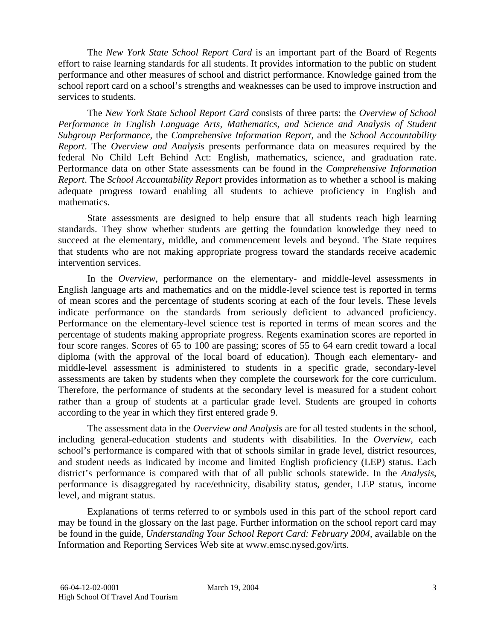The *New York State School Report Card* is an important part of the Board of Regents effort to raise learning standards for all students. It provides information to the public on student performance and other measures of school and district performance. Knowledge gained from the school report card on a school's strengths and weaknesses can be used to improve instruction and services to students.

The *New York State School Report Card* consists of three parts: the *Overview of School Performance in English Language Arts, Mathematics, and Science and Analysis of Student Subgroup Performance,* the *Comprehensive Information Report,* and the *School Accountability Report*. The *Overview and Analysis* presents performance data on measures required by the federal No Child Left Behind Act: English, mathematics, science, and graduation rate. Performance data on other State assessments can be found in the *Comprehensive Information Report*. The *School Accountability Report* provides information as to whether a school is making adequate progress toward enabling all students to achieve proficiency in English and mathematics.

State assessments are designed to help ensure that all students reach high learning standards. They show whether students are getting the foundation knowledge they need to succeed at the elementary, middle, and commencement levels and beyond. The State requires that students who are not making appropriate progress toward the standards receive academic intervention services.

In the *Overview*, performance on the elementary- and middle-level assessments in English language arts and mathematics and on the middle-level science test is reported in terms of mean scores and the percentage of students scoring at each of the four levels. These levels indicate performance on the standards from seriously deficient to advanced proficiency. Performance on the elementary-level science test is reported in terms of mean scores and the percentage of students making appropriate progress. Regents examination scores are reported in four score ranges. Scores of 65 to 100 are passing; scores of 55 to 64 earn credit toward a local diploma (with the approval of the local board of education). Though each elementary- and middle-level assessment is administered to students in a specific grade, secondary-level assessments are taken by students when they complete the coursework for the core curriculum. Therefore, the performance of students at the secondary level is measured for a student cohort rather than a group of students at a particular grade level. Students are grouped in cohorts according to the year in which they first entered grade 9.

The assessment data in the *Overview and Analysis* are for all tested students in the school, including general-education students and students with disabilities. In the *Overview*, each school's performance is compared with that of schools similar in grade level, district resources, and student needs as indicated by income and limited English proficiency (LEP) status. Each district's performance is compared with that of all public schools statewide. In the *Analysis*, performance is disaggregated by race/ethnicity, disability status, gender, LEP status, income level, and migrant status.

Explanations of terms referred to or symbols used in this part of the school report card may be found in the glossary on the last page. Further information on the school report card may be found in the guide, *Understanding Your School Report Card: February 2004*, available on the Information and Reporting Services Web site at www.emsc.nysed.gov/irts.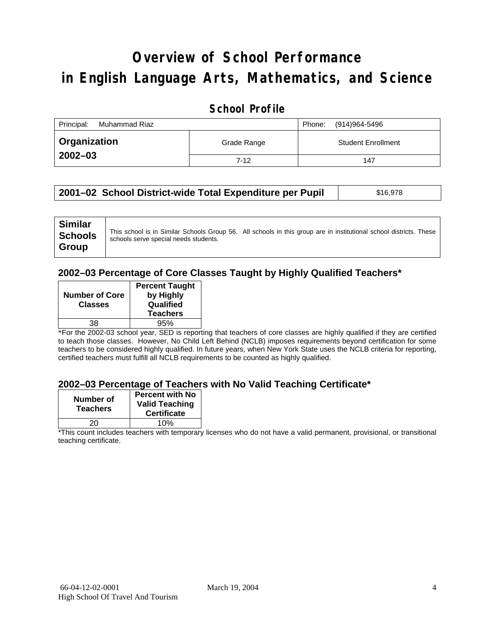# **Overview of School Performance in English Language Arts, Mathematics, and Science**

### **School Profile**

| Principal:<br>Muhammad Riaz |             | (914)964-5496<br>Phone:   |
|-----------------------------|-------------|---------------------------|
| <b>Organization</b>         | Grade Range | <b>Student Enrollment</b> |
| $2002 - 03$                 | 7-12        | 147                       |

### **2001–02 School District-wide Total Expenditure per Pupil | \$16,978**

| <b>Similar</b><br><b>Schools</b><br>Group | schools serve special needs students. | This school is in Similar Schools Group 56. All schools in this group are in institutional school districts. These |
|-------------------------------------------|---------------------------------------|--------------------------------------------------------------------------------------------------------------------|
|-------------------------------------------|---------------------------------------|--------------------------------------------------------------------------------------------------------------------|

### **2002–03 Percentage of Core Classes Taught by Highly Qualified Teachers\***

| <b>Number of Core</b><br><b>Classes</b> | <b>Percent Taught</b><br>by Highly<br>Qualified<br><b>Teachers</b> |
|-----------------------------------------|--------------------------------------------------------------------|
|                                         |                                                                    |
| 38                                      | 95%                                                                |
|                                         |                                                                    |

\*For the 2002-03 school year, SED is reporting that teachers of core classes are highly qualified if they are certified to teach those classes. However, No Child Left Behind (NCLB) imposes requirements beyond certification for some teachers to be considered highly qualified. In future years, when New York State uses the NCLB criteria for reporting, certified teachers must fulfill all NCLB requirements to be counted as highly qualified.

#### **2002–03 Percentage of Teachers with No Valid Teaching Certificate\***

| Number of<br><b>Teachers</b> | <b>Percent with No</b><br><b>Valid Teaching</b><br><b>Certificate</b> |
|------------------------------|-----------------------------------------------------------------------|
| 20                           | 10%                                                                   |

\*This count includes teachers with temporary licenses who do not have a valid permanent, provisional, or transitional teaching certificate.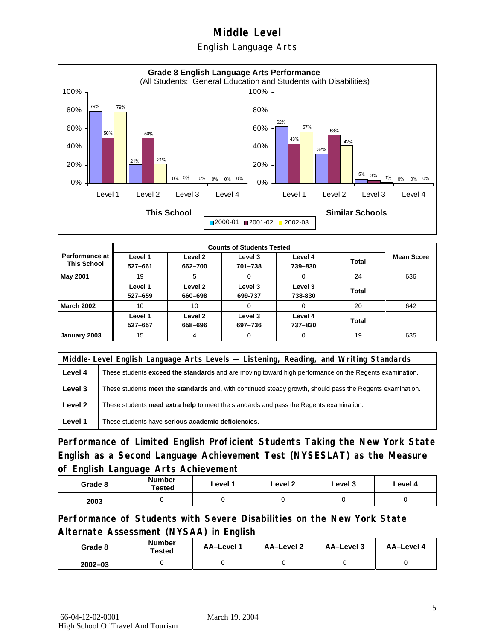### English Language Arts



| Performance at<br><b>This School</b> | Level 1<br>527-661 | Level 2<br>662-700 | Level 3<br>701-738 | Level 4<br>739-830 | Total | <b>Mean Score</b> |
|--------------------------------------|--------------------|--------------------|--------------------|--------------------|-------|-------------------|
| May 2001                             | 19                 | 5                  | 0                  | 0                  | 24    | 636               |
|                                      | Level 1<br>527-659 | Level 2<br>660-698 | Level 3<br>699-737 | Level 3<br>738-830 | Total |                   |
| <b>March 2002</b>                    | 10                 | 10                 | 0                  | 0                  | 20    | 642               |
|                                      | Level 1<br>527-657 | Level 2<br>658-696 | Level 3<br>697-736 | Level 4<br>737-830 | Total |                   |
| January 2003                         | 15                 | 4                  | $\Omega$           | 0                  | 19    | 635               |

|         | Middle-Level English Language Arts Levels — Listening, Reading, and Writing Standards                         |  |  |  |  |
|---------|---------------------------------------------------------------------------------------------------------------|--|--|--|--|
| Level 4 | These students <b>exceed the standards</b> and are moving toward high performance on the Regents examination. |  |  |  |  |
| Level 3 | These students meet the standards and, with continued steady growth, should pass the Regents examination.     |  |  |  |  |
| Level 2 | These students need extra help to meet the standards and pass the Regents examination.                        |  |  |  |  |
| Level 1 | These students have serious academic deficiencies.                                                            |  |  |  |  |

**Performance of Limited English Proficient Students Taking the New York State English as a Second Language Achievement Test (NYSESLAT) as the Measure of English Language Arts Achievement**

| Grade 8 | Number<br>Tested | Level 1 | Level 2 | Level 3 | Level 4 |
|---------|------------------|---------|---------|---------|---------|
| 2003    |                  |         |         |         |         |

**Performance of Students with Severe Disabilities on the New York State Alternate Assessment (NYSAA) in English** 

| Grade 8     | <b>Number</b><br>Tested | AA-Level 1 | AA-Level 2 | AA-Level 3 | AA-Level 4 |
|-------------|-------------------------|------------|------------|------------|------------|
| $2002 - 03$ |                         |            |            |            |            |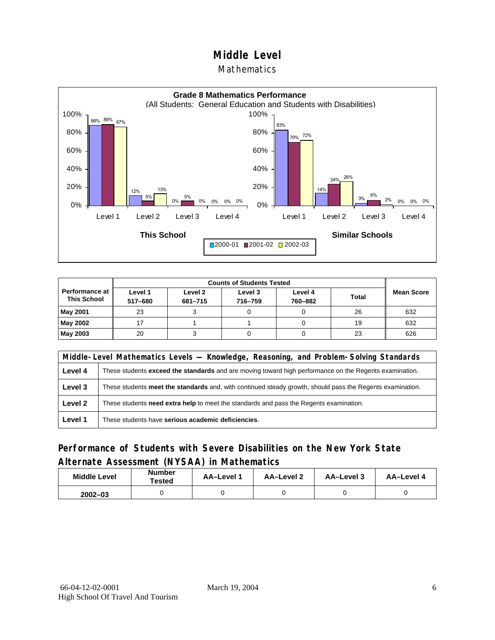### Mathematics



| <b>Counts of Students Tested</b>     |                    |                    |                    |                    |              |                   |
|--------------------------------------|--------------------|--------------------|--------------------|--------------------|--------------|-------------------|
| Performance at<br><b>This School</b> | Level 1<br>517-680 | Level 2<br>681-715 | Level 3<br>716-759 | Level 4<br>760-882 | <b>Total</b> | <b>Mean Score</b> |
| May 2001                             | 23                 |                    |                    |                    | 26           | 632               |
| May 2002                             | 17                 |                    |                    |                    | 19           | 632               |
| May 2003                             | 20                 |                    |                    |                    | 23           | 626               |

|         | Middle-Level Mathematics Levels — Knowledge, Reasoning, and Problem-Solving Standards                         |  |  |  |  |
|---------|---------------------------------------------------------------------------------------------------------------|--|--|--|--|
| Level 4 | These students <b>exceed the standards</b> and are moving toward high performance on the Regents examination. |  |  |  |  |
| Level 3 | These students meet the standards and, with continued steady growth, should pass the Regents examination.     |  |  |  |  |
| Level 2 | These students <b>need extra help</b> to meet the standards and pass the Regents examination.                 |  |  |  |  |
| Level 1 | These students have serious academic deficiencies.                                                            |  |  |  |  |

### **Performance of Students with Severe Disabilities on the New York State Alternate Assessment (NYSAA) in Mathematics**

| <b>Middle Level</b> | <b>Number</b><br>Tested | <b>AA-Level</b> | AA-Level 2 | AA-Level 3 | AA-Level 4 |
|---------------------|-------------------------|-----------------|------------|------------|------------|
| $2002 - 03$         |                         |                 |            |            |            |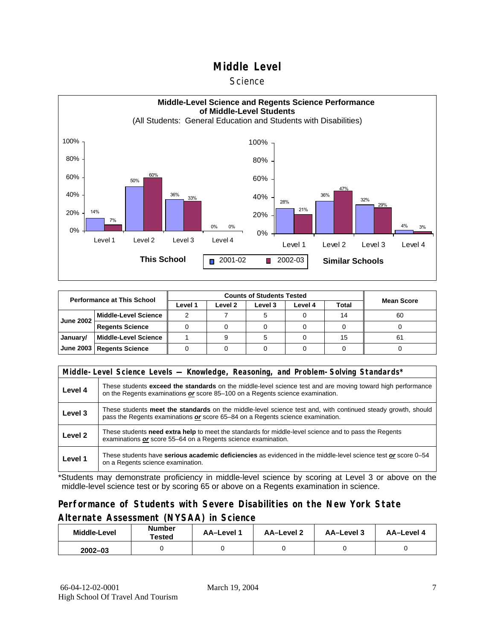#### **Science**



| <b>Performance at This School</b> |                             |         | <b>Counts of Students Tested</b> |         | <b>Mean Score</b> |              |    |
|-----------------------------------|-----------------------------|---------|----------------------------------|---------|-------------------|--------------|----|
|                                   |                             | Level 1 | Level 2                          | Level 3 | Level 4           | <b>Total</b> |    |
| <b>June 2002</b>                  | <b>Middle-Level Science</b> |         |                                  |         |                   | 14           | 60 |
|                                   | <b>Regents Science</b>      |         |                                  |         |                   |              |    |
| January/                          | <b>Middle-Level Science</b> |         |                                  |         |                   | 15           | 61 |
|                                   | June 2003   Regents Science |         |                                  |         |                   |              |    |

|         | Middle-Level Science Levels — Knowledge, Reasoning, and Problem-Solving Standards*                                                                                                                  |  |  |  |  |  |  |  |
|---------|-----------------------------------------------------------------------------------------------------------------------------------------------------------------------------------------------------|--|--|--|--|--|--|--|
| Level 4 | These students <b>exceed the standards</b> on the middle-level science test and are moving toward high performance<br>on the Regents examinations or score 85–100 on a Regents science examination. |  |  |  |  |  |  |  |
| Level 3 | These students meet the standards on the middle-level science test and, with continued steady growth, should<br>pass the Regents examinations or score 65–84 on a Regents science examination.      |  |  |  |  |  |  |  |
| Level 2 | These students need extra help to meet the standards for middle-level science and to pass the Regents<br>examinations or score 55–64 on a Regents science examination.                              |  |  |  |  |  |  |  |
| Level 1 | These students have serious academic deficiencies as evidenced in the middle-level science test or score 0–54<br>on a Regents science examination.                                                  |  |  |  |  |  |  |  |

\*Students may demonstrate proficiency in middle-level science by scoring at Level 3 or above on the middle-level science test or by scoring 65 or above on a Regents examination in science.

### **Performance of Students with Severe Disabilities on the New York State Alternate Assessment (NYSAA) in Science**

| Middle-Level | <b>Number</b><br>Tested | AA-Level 1 |  | AA-Level 3 | AA-Level 4 |  |
|--------------|-------------------------|------------|--|------------|------------|--|
| $2002 - 03$  |                         |            |  |            |            |  |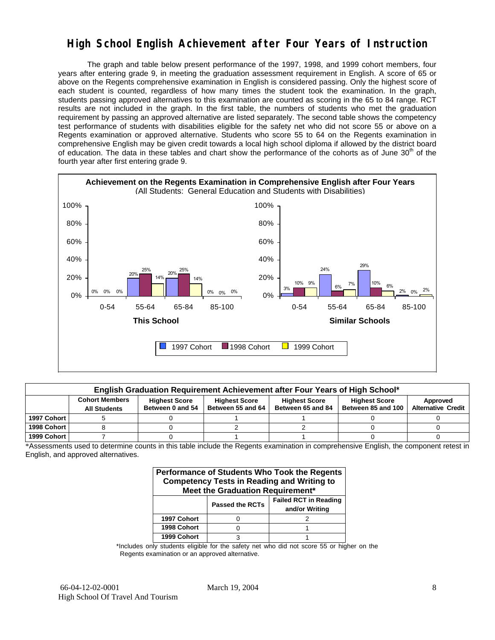### **High School English Achievement after Four Years of Instruction**

The graph and table below present performance of the 1997, 1998, and 1999 cohort members, four years after entering grade 9, in meeting the graduation assessment requirement in English. A score of 65 or above on the Regents comprehensive examination in English is considered passing. Only the highest score of each student is counted, regardless of how many times the student took the examination. In the graph, students passing approved alternatives to this examination are counted as scoring in the 65 to 84 range. RCT results are not included in the graph. In the first table, the numbers of students who met the graduation requirement by passing an approved alternative are listed separately. The second table shows the competency test performance of students with disabilities eligible for the safety net who did not score 55 or above on a Regents examination or approved alternative. Students who score 55 to 64 on the Regents examination in comprehensive English may be given credit towards a local high school diploma if allowed by the district board of education. The data in these tables and chart show the performance of the cohorts as of June  $30<sup>th</sup>$  of the fourth year after first entering grade 9.



|             | English Graduation Requirement Achievement after Four Years of High School* |                                          |                                           |                                           |                                            |                                       |  |  |  |  |  |
|-------------|-----------------------------------------------------------------------------|------------------------------------------|-------------------------------------------|-------------------------------------------|--------------------------------------------|---------------------------------------|--|--|--|--|--|
|             | <b>Cohort Members</b><br><b>All Students</b>                                | <b>Highest Score</b><br>Between 0 and 54 | <b>Highest Score</b><br>Between 55 and 64 | <b>Highest Score</b><br>Between 65 and 84 | <b>Highest Score</b><br>Between 85 and 100 | Approved<br><b>Alternative Credit</b> |  |  |  |  |  |
| 1997 Cohort |                                                                             |                                          |                                           |                                           |                                            |                                       |  |  |  |  |  |
| 1998 Cohort |                                                                             |                                          |                                           |                                           |                                            |                                       |  |  |  |  |  |
| 1999 Cohort |                                                                             |                                          |                                           |                                           |                                            |                                       |  |  |  |  |  |

\*Assessments used to determine counts in this table include the Regents examination in comprehensive English, the component retest in English, and approved alternatives.

|             | Meet the Graduation Requirement*                                         | Performance of Students Who Took the Regents<br><b>Competency Tests in Reading and Writing to</b> |  |  |  |  |  |  |  |
|-------------|--------------------------------------------------------------------------|---------------------------------------------------------------------------------------------------|--|--|--|--|--|--|--|
|             | <b>Failed RCT in Reading</b><br><b>Passed the RCTs</b><br>and/or Writing |                                                                                                   |  |  |  |  |  |  |  |
| 1997 Cohort |                                                                          |                                                                                                   |  |  |  |  |  |  |  |
| 1998 Cohort |                                                                          |                                                                                                   |  |  |  |  |  |  |  |
| 1999 Cohort |                                                                          |                                                                                                   |  |  |  |  |  |  |  |

\*Includes only students eligible for the safety net who did not score 55 or higher on the Regents examination or an approved alternative.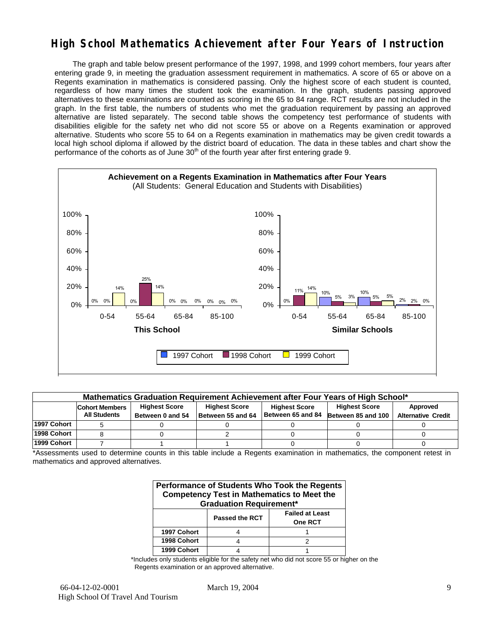### **High School Mathematics Achievement after Four Years of Instruction**

The graph and table below present performance of the 1997, 1998, and 1999 cohort members, four years after entering grade 9, in meeting the graduation assessment requirement in mathematics. A score of 65 or above on a Regents examination in mathematics is considered passing. Only the highest score of each student is counted, regardless of how many times the student took the examination. In the graph, students passing approved alternatives to these examinations are counted as scoring in the 65 to 84 range. RCT results are not included in the graph. In the first table, the numbers of students who met the graduation requirement by passing an approved alternative are listed separately. The second table shows the competency test performance of students with disabilities eligible for the safety net who did not score 55 or above on a Regents examination or approved alternative. Students who score 55 to 64 on a Regents examination in mathematics may be given credit towards a local high school diploma if allowed by the district board of education. The data in these tables and chart show the performance of the cohorts as of June  $30<sup>th</sup>$  of the fourth year after first entering grade 9.



|             | Mathematics Graduation Requirement Achievement after Four Years of High School*                                                   |                  |                   |                   |                    |                           |  |  |  |  |
|-------------|-----------------------------------------------------------------------------------------------------------------------------------|------------------|-------------------|-------------------|--------------------|---------------------------|--|--|--|--|
|             | <b>Highest Score</b><br><b>Highest Score</b><br><b>Highest Score</b><br>Approved<br><b>Cohort Members</b><br><b>Highest Score</b> |                  |                   |                   |                    |                           |  |  |  |  |
|             | <b>All Students</b>                                                                                                               | Between 0 and 54 | Between 55 and 64 | Between 65 and 84 | Between 85 and 100 | <b>Alternative Credit</b> |  |  |  |  |
| 1997 Cohort |                                                                                                                                   |                  |                   |                   |                    |                           |  |  |  |  |
| 1998 Cohort |                                                                                                                                   |                  |                   |                   |                    |                           |  |  |  |  |
| 1999 Cohort |                                                                                                                                   |                  |                   |                   |                    |                           |  |  |  |  |

\*Assessments used to determine counts in this table include a Regents examination in mathematics, the component retest in mathematics and approved alternatives.

|             | Performance of Students Who Took the Regents<br><b>Competency Test in Mathematics to Meet the</b><br><b>Graduation Requirement*</b> |                                   |  |  |  |  |  |  |  |  |
|-------------|-------------------------------------------------------------------------------------------------------------------------------------|-----------------------------------|--|--|--|--|--|--|--|--|
|             | <b>Passed the RCT</b>                                                                                                               | <b>Failed at Least</b><br>One RCT |  |  |  |  |  |  |  |  |
| 1997 Cohort |                                                                                                                                     |                                   |  |  |  |  |  |  |  |  |
| 1998 Cohort |                                                                                                                                     |                                   |  |  |  |  |  |  |  |  |
| 1999 Cohort |                                                                                                                                     |                                   |  |  |  |  |  |  |  |  |

\*Includes only students eligible for the safety net who did not score 55 or higher on the Regents examination or an approved alternative.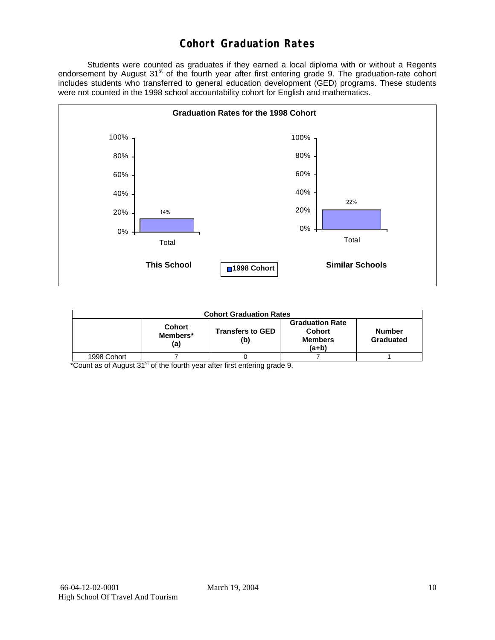### **Cohort Graduation Rates**

 Students were counted as graduates if they earned a local diploma with or without a Regents endorsement by August 31<sup>st</sup> of the fourth year after first entering grade 9. The graduation-rate cohort includes students who transferred to general education development (GED) programs. These students were not counted in the 1998 school accountability cohort for English and mathematics.



|             | <b>Cohort Graduation Rates</b>   |                                |                                                               |                            |  |  |  |  |  |
|-------------|----------------------------------|--------------------------------|---------------------------------------------------------------|----------------------------|--|--|--|--|--|
|             | <b>Cohort</b><br>Members*<br>(a) | <b>Transfers to GED</b><br>(b) | <b>Graduation Rate</b><br>Cohort<br><b>Members</b><br>$(a+b)$ | <b>Number</b><br>Graduated |  |  |  |  |  |
| 1998 Cohort |                                  |                                |                                                               |                            |  |  |  |  |  |

\*Count as of August 31<sup>st</sup> of the fourth year after first entering grade 9.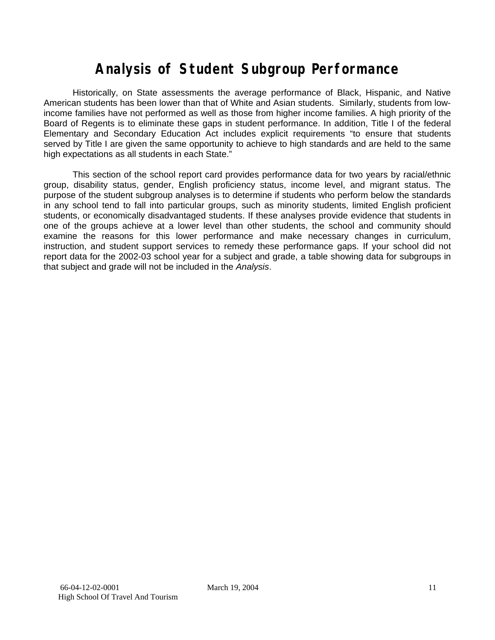# **Analysis of Student Subgroup Performance**

Historically, on State assessments the average performance of Black, Hispanic, and Native American students has been lower than that of White and Asian students. Similarly, students from lowincome families have not performed as well as those from higher income families. A high priority of the Board of Regents is to eliminate these gaps in student performance. In addition, Title I of the federal Elementary and Secondary Education Act includes explicit requirements "to ensure that students served by Title I are given the same opportunity to achieve to high standards and are held to the same high expectations as all students in each State."

This section of the school report card provides performance data for two years by racial/ethnic group, disability status, gender, English proficiency status, income level, and migrant status. The purpose of the student subgroup analyses is to determine if students who perform below the standards in any school tend to fall into particular groups, such as minority students, limited English proficient students, or economically disadvantaged students. If these analyses provide evidence that students in one of the groups achieve at a lower level than other students, the school and community should examine the reasons for this lower performance and make necessary changes in curriculum, instruction, and student support services to remedy these performance gaps. If your school did not report data for the 2002-03 school year for a subject and grade, a table showing data for subgroups in that subject and grade will not be included in the *Analysis*.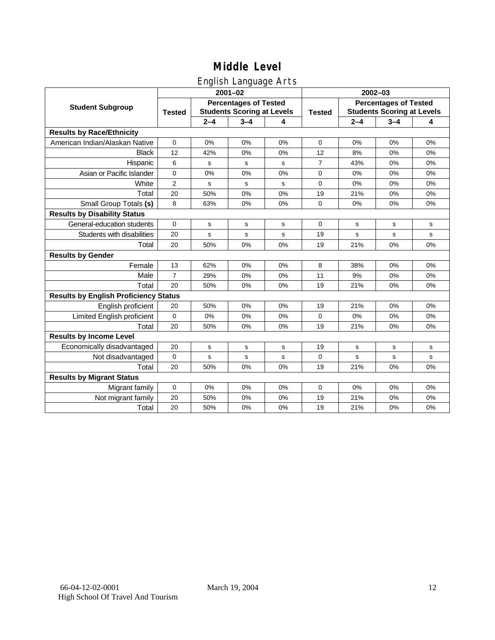### English Language Arts

|                                              |                |         | ັ<br>$2001 - 02$                                                  |    | $2002 - 03$    |                                                                   |         |             |
|----------------------------------------------|----------------|---------|-------------------------------------------------------------------|----|----------------|-------------------------------------------------------------------|---------|-------------|
| <b>Student Subgroup</b>                      | <b>Tested</b>  |         | <b>Percentages of Tested</b><br><b>Students Scoring at Levels</b> |    | <b>Tested</b>  | <b>Percentages of Tested</b><br><b>Students Scoring at Levels</b> |         |             |
|                                              |                | $2 - 4$ | $3 - 4$                                                           | 4  |                | $2 - 4$                                                           | $3 - 4$ | 4           |
| <b>Results by Race/Ethnicity</b>             |                |         |                                                                   |    |                |                                                                   |         |             |
| American Indian/Alaskan Native               | $\mathbf 0$    | 0%      | 0%                                                                | 0% | $\mathbf 0$    | 0%                                                                | 0%      | 0%          |
| <b>Black</b>                                 | 12             | 42%     | 0%                                                                | 0% | 12             | 8%                                                                | 0%      | 0%          |
| Hispanic                                     | 6              | s       | s                                                                 | s  | $\overline{7}$ | 43%                                                               | 0%      | 0%          |
| Asian or Pacific Islander                    | $\mathbf 0$    | 0%      | 0%                                                                | 0% | $\mathbf 0$    | 0%                                                                | 0%      | 0%          |
| White                                        | 2              | s       | ${\tt s}$                                                         | s  | 0              | 0%                                                                | 0%      | 0%          |
| Total                                        | 20             | 50%     | 0%                                                                | 0% | 19             | 21%                                                               | 0%      | 0%          |
| Small Group Totals (s)                       | 8              | 63%     | 0%                                                                | 0% | $\mathbf 0$    | 0%                                                                | 0%      | 0%          |
| <b>Results by Disability Status</b>          |                |         |                                                                   |    |                |                                                                   |         |             |
| General-education students                   | $\mathbf 0$    | s       | s                                                                 | s  | 0              | s                                                                 | s       | s           |
| Students with disabilities                   | 20             | s       | s                                                                 | s  | 19             | s                                                                 | s       | ${\tt s}$   |
| Total                                        | 20             | 50%     | 0%                                                                | 0% | 19             | 21%                                                               | 0%      | 0%          |
| <b>Results by Gender</b>                     |                |         |                                                                   |    |                |                                                                   |         |             |
| Female                                       | 13             | 62%     | 0%                                                                | 0% | 8              | 38%                                                               | 0%      | 0%          |
| Male                                         | $\overline{7}$ | 29%     | 0%                                                                | 0% | 11             | 9%                                                                | 0%      | 0%          |
| Total                                        | 20             | 50%     | 0%                                                                | 0% | 19             | 21%                                                               | 0%      | 0%          |
| <b>Results by English Proficiency Status</b> |                |         |                                                                   |    |                |                                                                   |         |             |
| English proficient                           | 20             | 50%     | 0%                                                                | 0% | 19             | 21%                                                               | 0%      | 0%          |
| Limited English proficient                   | $\mathbf{0}$   | 0%      | 0%                                                                | 0% | 0              | 0%                                                                | 0%      | 0%          |
| Total                                        | 20             | 50%     | 0%                                                                | 0% | 19             | 21%                                                               | 0%      | 0%          |
| <b>Results by Income Level</b>               |                |         |                                                                   |    |                |                                                                   |         |             |
| Economically disadvantaged                   | 20             | s       | $\mathbf S$                                                       | s  | 19             | s                                                                 | s       | s           |
| Not disadvantaged                            | 0              | s       | s                                                                 | s  | $\mathbf 0$    | s                                                                 | s       | $\mathbf s$ |
| Total                                        | 20             | 50%     | 0%                                                                | 0% | 19             | 21%                                                               | 0%      | 0%          |
| <b>Results by Migrant Status</b>             |                |         |                                                                   |    |                |                                                                   |         |             |
| Migrant family                               | $\mathbf 0$    | 0%      | 0%                                                                | 0% | 0              | 0%                                                                | 0%      | 0%          |
| Not migrant family                           | 20             | 50%     | 0%                                                                | 0% | 19             | 21%                                                               | 0%      | 0%          |
| Total                                        | 20             | 50%     | 0%                                                                | 0% | 19             | 21%                                                               | 0%      | 0%          |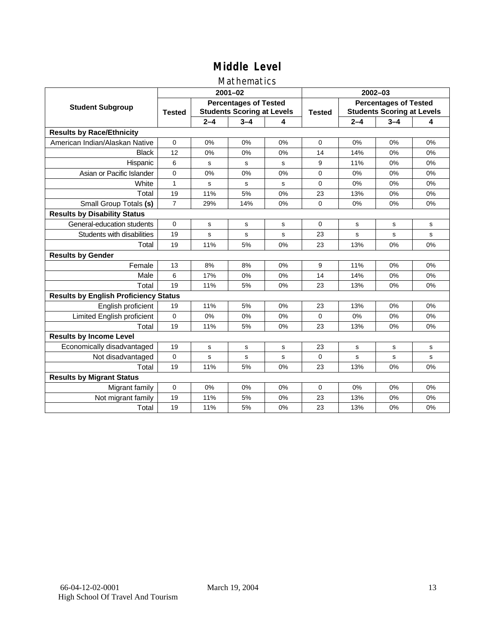### Mathematics

|                                              |                |         | $2001 - 02$                                                       |    | $2002 - 03$   |                                                                   |         |              |
|----------------------------------------------|----------------|---------|-------------------------------------------------------------------|----|---------------|-------------------------------------------------------------------|---------|--------------|
| <b>Student Subgroup</b>                      | <b>Tested</b>  |         | <b>Percentages of Tested</b><br><b>Students Scoring at Levels</b> |    | <b>Tested</b> | <b>Percentages of Tested</b><br><b>Students Scoring at Levels</b> |         |              |
|                                              |                | $2 - 4$ | $3 - 4$                                                           | 4  |               | $2 - 4$                                                           | $3 - 4$ | 4            |
| <b>Results by Race/Ethnicity</b>             |                |         |                                                                   |    |               |                                                                   |         |              |
| American Indian/Alaskan Native               | $\Omega$       | 0%      | 0%                                                                | 0% | $\Omega$      | 0%                                                                | 0%      | 0%           |
| <b>Black</b>                                 | 12             | 0%      | 0%                                                                | 0% | 14            | 14%                                                               | 0%      | 0%           |
| Hispanic                                     | 6              | s       | s                                                                 | s  | 9             | 11%                                                               | 0%      | 0%           |
| Asian or Pacific Islander                    | $\mathbf 0$    | 0%      | 0%                                                                | 0% | 0             | 0%                                                                | 0%      | 0%           |
| White                                        | $\mathbf{1}$   | s       | ${\bf s}$                                                         | S  | 0             | 0%                                                                | 0%      | 0%           |
| Total                                        | 19             | 11%     | 5%                                                                | 0% | 23            | 13%                                                               | 0%      | 0%           |
| Small Group Totals (s)                       | $\overline{7}$ | 29%     | 14%                                                               | 0% | $\Omega$      | 0%                                                                | 0%      | 0%           |
| <b>Results by Disability Status</b>          |                |         |                                                                   |    |               |                                                                   |         |              |
| General-education students                   | $\Omega$       | s       | s                                                                 | s  | $\Omega$      | S                                                                 | s       | s            |
| Students with disabilities                   | 19             | s       | s                                                                 | s  | 23            | s                                                                 | s       | $\mathbf{s}$ |
| Total                                        | 19             | 11%     | 5%                                                                | 0% | 23            | 13%                                                               | 0%      | 0%           |
| <b>Results by Gender</b>                     |                |         |                                                                   |    |               |                                                                   |         |              |
| Female                                       | 13             | 8%      | 8%                                                                | 0% | 9             | 11%                                                               | 0%      | 0%           |
| Male                                         | 6              | 17%     | 0%                                                                | 0% | 14            | 14%                                                               | 0%      | 0%           |
| Total                                        | 19             | 11%     | 5%                                                                | 0% | 23            | 13%                                                               | 0%      | 0%           |
| <b>Results by English Proficiency Status</b> |                |         |                                                                   |    |               |                                                                   |         |              |
| English proficient                           | 19             | 11%     | 5%                                                                | 0% | 23            | 13%                                                               | 0%      | 0%           |
| Limited English proficient                   | $\mathbf 0$    | 0%      | 0%                                                                | 0% | 0             | 0%                                                                | 0%      | 0%           |
| Total                                        | 19             | 11%     | 5%                                                                | 0% | 23            | 13%                                                               | 0%      | 0%           |
| <b>Results by Income Level</b>               |                |         |                                                                   |    |               |                                                                   |         |              |
| Economically disadvantaged                   | 19             | s       | s                                                                 | s  | 23            | s                                                                 | s       | s            |
| Not disadvantaged                            | $\mathbf 0$    | s       | s                                                                 | s  | $\Omega$      | s                                                                 | s       | s            |
| Total                                        | 19             | 11%     | 5%                                                                | 0% | 23            | 13%                                                               | 0%      | 0%           |
| <b>Results by Migrant Status</b>             |                |         |                                                                   |    |               |                                                                   |         |              |
| Migrant family                               | 0              | 0%      | 0%                                                                | 0% | 0             | 0%                                                                | 0%      | 0%           |
| Not migrant family                           | 19             | 11%     | 5%                                                                | 0% | 23            | 13%                                                               | 0%      | 0%           |
| Total                                        | 19             | 11%     | 5%                                                                | 0% | 23            | 13%                                                               | 0%      | 0%           |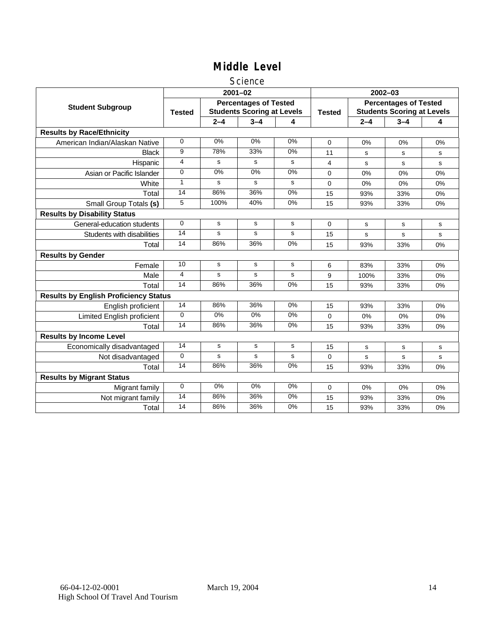### **Science**

|                                              |               |         | $2001 - 02$                                                       |       | $2002 - 03$   |                                                                   |         |    |
|----------------------------------------------|---------------|---------|-------------------------------------------------------------------|-------|---------------|-------------------------------------------------------------------|---------|----|
| <b>Student Subgroup</b>                      | <b>Tested</b> |         | <b>Percentages of Tested</b><br><b>Students Scoring at Levels</b> |       | <b>Tested</b> | <b>Percentages of Tested</b><br><b>Students Scoring at Levels</b> |         |    |
|                                              |               | $2 - 4$ | $3 - 4$                                                           | 4     |               | $2 - 4$                                                           | $3 - 4$ | 4  |
| <b>Results by Race/Ethnicity</b>             |               |         |                                                                   |       |               |                                                                   |         |    |
| American Indian/Alaskan Native               | $\Omega$      | 0%      | 0%                                                                | 0%    | $\Omega$      | 0%                                                                | 0%      | 0% |
| <b>Black</b>                                 | 9             | 78%     | 33%                                                               | 0%    | 11            | s                                                                 | s       | s  |
| Hispanic                                     | 4             | s       | s                                                                 | s     | 4             | s                                                                 | s       | s  |
| Asian or Pacific Islander                    | $\Omega$      | 0%      | 0%                                                                | 0%    | 0             | 0%                                                                | 0%      | 0% |
| White                                        | $\mathbf{1}$  | s       | s                                                                 | s     | 0             | 0%                                                                | 0%      | 0% |
| Total                                        | 14            | 86%     | 36%                                                               | 0%    | 15            | 93%                                                               | 33%     | 0% |
| Small Group Totals (s)                       | 5             | 100%    | 40%                                                               | 0%    | 15            | 93%                                                               | 33%     | 0% |
| <b>Results by Disability Status</b>          |               |         |                                                                   |       |               |                                                                   |         |    |
| General-education students                   | $\mathbf 0$   | s       | s                                                                 | s     | 0             | s                                                                 | s       | s  |
| Students with disabilities                   | 14            | s       | s                                                                 | s     | 15            | s                                                                 | s       | s  |
| Total                                        | 14            | 86%     | 36%                                                               | 0%    | 15            | 93%                                                               | 33%     | 0% |
| <b>Results by Gender</b>                     |               |         |                                                                   |       |               |                                                                   |         |    |
| Female                                       | 10            | s       | s                                                                 | s     | 6             | 83%                                                               | 33%     | 0% |
| Male                                         | 4             | s       | s                                                                 | s     | 9             | 100%                                                              | 33%     | 0% |
| Total                                        | 14            | 86%     | 36%                                                               | 0%    | 15            | 93%                                                               | 33%     | 0% |
| <b>Results by English Proficiency Status</b> |               |         |                                                                   |       |               |                                                                   |         |    |
| English proficient                           | 14            | 86%     | 36%                                                               | 0%    | 15            | 93%                                                               | 33%     | 0% |
| Limited English proficient                   | $\Omega$      | $0\%$   | $0\%$                                                             | $0\%$ | 0             | 0%                                                                | 0%      | 0% |
| Total                                        | 14            | 86%     | 36%                                                               | 0%    | 15            | 93%                                                               | 33%     | 0% |
| <b>Results by Income Level</b>               |               |         |                                                                   |       |               |                                                                   |         |    |
| Economically disadvantaged                   | 14            | s       | s                                                                 | s     | 15            | s                                                                 | s       | s  |
| Not disadvantaged                            | 0             | s       | s                                                                 | s     | 0             | s                                                                 | s       | s  |
| Total                                        | 14            | 86%     | 36%                                                               | 0%    | 15            | 93%                                                               | 33%     | 0% |
| <b>Results by Migrant Status</b>             |               |         |                                                                   |       |               |                                                                   |         |    |
| Migrant family                               | 0             | 0%      | 0%                                                                | 0%    | 0             | 0%                                                                | 0%      | 0% |
| Not migrant family                           | 14            | 86%     | 36%                                                               | 0%    | 15            | 93%                                                               | 33%     | 0% |
| Total                                        | 14            | 86%     | 36%                                                               | 0%    | 15            | 93%                                                               | 33%     | 0% |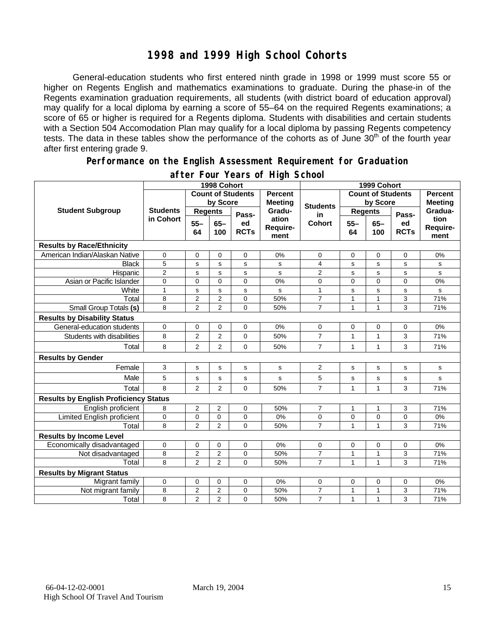### **1998 and 1999 High School Cohorts**

General-education students who first entered ninth grade in 1998 or 1999 must score 55 or higher on Regents English and mathematics examinations to graduate. During the phase-in of the Regents examination graduation requirements, all students (with district board of education approval) may qualify for a local diploma by earning a score of 55–64 on the required Regents examinations; a score of 65 or higher is required for a Regents diploma. Students with disabilities and certain students with a Section 504 Accomodation Plan may qualify for a local diploma by passing Regents competency tests. The data in these tables show the performance of the cohorts as of June 30<sup>th</sup> of the fourth year after first entering grade 9.

#### **Performance on the English Assessment Requirement for Graduation**

|                                              |                 |                | 1998 Cohort             |                          | 1999 Cohort               |                 |                |                          |                   |                          |
|----------------------------------------------|-----------------|----------------|-------------------------|--------------------------|---------------------------|-----------------|----------------|--------------------------|-------------------|--------------------------|
|                                              |                 |                |                         | <b>Count of Students</b> | <b>Percent</b>            |                 |                | <b>Count of Students</b> |                   | <b>Percent</b>           |
|                                              |                 |                | by Score                |                          | Meeting                   | <b>Students</b> | by Score       |                          |                   | Meeting                  |
| <b>Student Subgroup</b>                      | <b>Students</b> |                | <b>Regents</b><br>Pass- |                          | Gradu-                    | in              | <b>Regents</b> |                          | Pass-             | Gradua-                  |
|                                              | in Cohort       | $55 -$<br>64   | $65 -$<br>100           | ed<br><b>RCTs</b>        | ation<br>Require-<br>ment | <b>Cohort</b>   | $55 -$<br>64   | $65 -$<br>100            | ed<br><b>RCTs</b> | tion<br>Require-<br>ment |
| <b>Results by Race/Ethnicity</b>             |                 |                |                         |                          |                           |                 |                |                          |                   |                          |
| American Indian/Alaskan Native               | $\mathbf 0$     | 0              | $\Omega$                | $\mathbf 0$              | 0%                        | 0               | 0              | 0                        | $\mathbf 0$       | 0%                       |
| <b>Black</b>                                 | 5               | s              | s                       | s                        | s                         | 4               | s              | s                        | s                 | s                        |
| Hispanic                                     | $\overline{2}$  | s              | s                       | s                        | s                         | $\overline{2}$  | s              | s                        | s                 | s                        |
| Asian or Pacific Islander                    | $\mathbf 0$     | 0              | $\mathbf 0$             | 0                        | 0%                        | 0               | 0              | $\Omega$                 | $\mathbf 0$       | 0%                       |
| White                                        | $\mathbf{1}$    | s              | s                       | $\mathbf s$              | s                         | $\mathbf{1}$    | s              | s                        | s                 | s                        |
| Total                                        | 8               | $\overline{c}$ | $\overline{c}$          | $\mathbf 0$              | 50%                       | 7               | $\mathbf{1}$   | $\mathbf{1}$             | 3                 | 71%                      |
| Small Group Totals (s)                       | 8               | $\overline{2}$ | $\overline{2}$          | $\Omega$                 | 50%                       | $\overline{7}$  | $\overline{1}$ | 1                        | 3                 | 71%                      |
| <b>Results by Disability Status</b>          |                 |                |                         |                          |                           |                 |                |                          |                   |                          |
| General-education students                   | 0               | 0              | 0                       | 0                        | 0%                        | 0               | 0              | 0                        | 0                 | 0%                       |
| Students with disabilities                   | 8               | $\overline{2}$ | 2                       | $\mathbf 0$              | 50%                       | $\overline{7}$  | $\mathbf{1}$   | $\mathbf{1}$             | 3                 | 71%                      |
| Total                                        | 8               | 2              | 2                       | 0                        | 50%                       | $\overline{7}$  | $\mathbf{1}$   | 1                        | 3                 | 71%                      |
| <b>Results by Gender</b>                     |                 |                |                         |                          |                           |                 |                |                          |                   |                          |
| Female                                       | 3               | s              | s                       | s                        | s                         | $\overline{2}$  | s              | s                        | s                 | s                        |
| Male                                         | 5               | s              | s                       | ${\tt s}$                | s                         | 5               | $\mathbf s$    | s                        | s                 | s                        |
| Total                                        | 8               | $\overline{2}$ | $\overline{2}$          | $\Omega$                 | 50%                       | $\overline{7}$  | $\mathbf{1}$   | $\mathbf{1}$             | 3                 | 71%                      |
| <b>Results by English Proficiency Status</b> |                 |                |                         |                          |                           |                 |                |                          |                   |                          |
| English proficient                           | 8               | 2              | $\overline{2}$          | $\mathbf 0$              | 50%                       | 7               | 1              | 1                        | 3                 | 71%                      |
| Limited English proficient                   | 0               | 0              | 0                       | 0                        | 0%                        | 0               | 0              | 0                        | 0                 | $0\%$                    |
| Total                                        | 8               | $\overline{2}$ | $\overline{2}$          | $\Omega$                 | 50%                       | $\overline{7}$  | $\mathbf{1}$   | $\mathbf{1}$             | 3                 | 71%                      |
| <b>Results by Income Level</b>               |                 |                |                         |                          |                           |                 |                |                          |                   |                          |
| Economically disadvantaged                   | 0               | 0              | 0                       | $\mathbf 0$              | 0%                        | 0               | 0              | 0                        | 0                 | $0\%$                    |
| Not disadvantaged                            | 8               | $\overline{c}$ | $\overline{2}$          | $\overline{0}$           | 50%                       | $\overline{7}$  | 1              | $\mathbf{1}$             | 3                 | 71%                      |
| Total                                        | 8               | $\overline{2}$ | 2                       | $\Omega$                 | 50%                       | $\overline{7}$  | 1              | $\mathbf{1}$             | 3                 | 71%                      |
| <b>Results by Migrant Status</b>             |                 |                |                         |                          |                           |                 |                |                          |                   |                          |
| Migrant family                               | 0               | 0              | 0                       | $\mathbf 0$              | 0%                        | 0               | 0              | 0                        | 0                 | 0%                       |
| Not migrant family                           | 8               | 2              | $\overline{2}$          | $\mathbf 0$              | 50%                       | 7               | $\mathbf{1}$   | 1                        | 3                 | 71%                      |
| Total                                        | 8               | $\overline{2}$ | $\overline{2}$          | $\Omega$                 | 50%                       | $\overline{7}$  | $\mathbf{1}$   | $\mathbf{1}$             | 3                 | 71%                      |

### **after Four Years of High School**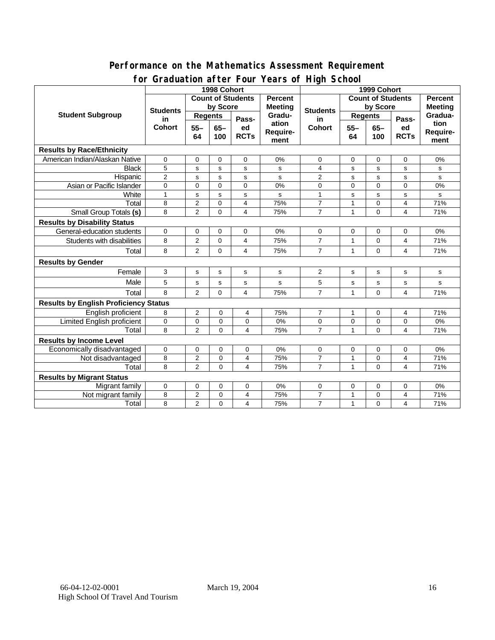### **Performance on the Mathematics Assessment Requirement for Graduation after Four Years of High School**

|                                              | ordddation artor roar roars o'i rhyn Sonool<br>1998 Cohort |                                            |                |                |                          | 1999 Cohort                            |                |                |                |          |  |
|----------------------------------------------|------------------------------------------------------------|--------------------------------------------|----------------|----------------|--------------------------|----------------------------------------|----------------|----------------|----------------|----------|--|
|                                              |                                                            | <b>Count of Students</b><br><b>Percent</b> |                |                | <b>Count of Students</b> |                                        |                | <b>Percent</b> |                |          |  |
| <b>Student Subgroup</b>                      | <b>Students</b><br>in<br><b>Cohort</b>                     | by Score                                   |                | <b>Meeting</b> |                          | by Score                               |                | <b>Meeting</b> |                |          |  |
|                                              |                                                            | <b>Regents</b>                             |                |                | Gradu-<br>ation          | <b>Students</b><br>in<br><b>Cohort</b> | <b>Regents</b> |                |                | Gradua-  |  |
|                                              |                                                            | $55 -$<br>$65 -$                           | Pass-<br>ed    | $55 -$         |                          |                                        | $65-$          | Pass-<br>ed    | tion           |          |  |
|                                              |                                                            | 64                                         | 100            | <b>RCTs</b>    | Require-                 |                                        | 64             | 100            | <b>RCTs</b>    | Require- |  |
|                                              |                                                            |                                            |                |                | ment                     |                                        |                |                |                | ment     |  |
| <b>Results by Race/Ethnicity</b>             |                                                            |                                            |                |                |                          |                                        |                |                |                |          |  |
| American Indian/Alaskan Native               | $\mathbf 0$                                                | 0                                          | 0              | 0              | 0%                       | 0                                      | 0              | 0              | 0              | 0%       |  |
| <b>Black</b>                                 | 5                                                          | s                                          | s              | s              | s                        | 4                                      | s              | $\mathbf s$    | s              | s        |  |
| Hispanic                                     | $\overline{2}$                                             | s                                          | s              | s              | s                        | $\overline{2}$                         | s              | $\mathbf s$    | s              | s        |  |
| Asian or Pacific Islander                    | 0                                                          | 0                                          | $\overline{0}$ | $\Omega$       | 0%                       | 0                                      | $\mathbf 0$    | $\mathbf 0$    | 0              | 0%       |  |
| White                                        | $\mathbf{1}$                                               | s                                          | s              | s              | s                        | $\mathbf{1}$                           | s              | s              | s              | s        |  |
| Total                                        | 8                                                          | $\overline{c}$                             | $\overline{0}$ | 4              | 75%                      | $\overline{7}$                         | $\mathbf{1}$   | $\mathbf 0$    | 4              | 71%      |  |
| Small Group Totals (s)                       | $\overline{8}$                                             | $\overline{2}$                             | $\overline{0}$ | 4              | 75%                      | $\overline{7}$                         | 1              | $\Omega$       | 4              | 71%      |  |
| <b>Results by Disability Status</b>          |                                                            |                                            |                |                |                          |                                        |                |                |                |          |  |
| General-education students                   | 0                                                          | 0                                          | 0              | 0              | 0%                       | 0                                      | 0              | 0              | 0              | 0%       |  |
| Students with disabilities                   | 8                                                          | $\overline{2}$                             | $\mathbf 0$    | $\overline{4}$ | 75%                      | $\overline{7}$                         | 1              | 0              | 4              | 71%      |  |
| Total                                        | 8                                                          | $\overline{2}$                             | $\Omega$       | 4              | 75%                      | $\overline{7}$                         | $\mathbf{1}$   | 0              | 4              | 71%      |  |
| <b>Results by Gender</b>                     |                                                            |                                            |                |                |                          |                                        |                |                |                |          |  |
| Female                                       | 3                                                          | $\mathbf s$                                | s              | ${\tt s}$      | s                        | $\overline{2}$                         | s              | s              | s              | s        |  |
| Male                                         | 5                                                          | s                                          | s              | s              | s                        | 5                                      | s              | s              | s              | s        |  |
| Total                                        | 8                                                          | 2                                          | $\mathbf 0$    | 4              | 75%                      | $\overline{7}$                         | 1              | 0              | 4              | 71%      |  |
| <b>Results by English Proficiency Status</b> |                                                            |                                            |                |                |                          |                                        |                |                |                |          |  |
| English proficient                           | 8                                                          | $\overline{c}$                             | 0              | 4              | 75%                      | $\overline{7}$                         | $\mathbf{1}$   | 0              | 4              | 71%      |  |
| Limited English proficient                   | 0                                                          | $\mathbf 0$                                | 0              | 0              | 0%                       | 0                                      | $\mathbf 0$    | $\mathbf 0$    | 0              | 0%       |  |
| Total                                        | 8                                                          | $\overline{2}$                             | $\Omega$       | 4              | 75%                      | $\overline{7}$                         | 1              | $\Omega$       | 4              | 71%      |  |
| <b>Results by Income Level</b>               |                                                            |                                            |                |                |                          |                                        |                |                |                |          |  |
| Economically disadvantaged                   | 0                                                          | 0                                          | 0              | 0              | 0%                       | 0                                      | $\mathbf 0$    | 0              | 0              | 0%       |  |
| Not disadvantaged                            | 8                                                          | $\overline{c}$                             | 0              | 4              | 75%                      | 7                                      | 1              | 0              | 4              | 71%      |  |
| Total                                        | 8                                                          | $\overline{2}$                             | $\Omega$       | 4              | 75%                      | $\overline{7}$                         | $\mathbf{1}$   | $\mathbf 0$    | $\overline{4}$ | 71%      |  |
| <b>Results by Migrant Status</b>             |                                                            |                                            |                |                |                          |                                        |                |                |                |          |  |
| Migrant family                               | 0                                                          | $\pmb{0}$                                  | 0              | 0              | 0%                       | 0                                      | $\mathbf 0$    | 0              | 0              | 0%       |  |
| Not migrant family                           | 8                                                          | $\boldsymbol{2}$                           | 0              | 4              | 75%                      | $\overline{7}$                         | $\mathbf{1}$   | 0              | 4              | 71%      |  |
| Total                                        | 8                                                          | $\overline{2}$                             | 0              | 4              | 75%                      | $\overline{7}$                         | $\mathbf{1}$   | 0              | 4              | 71%      |  |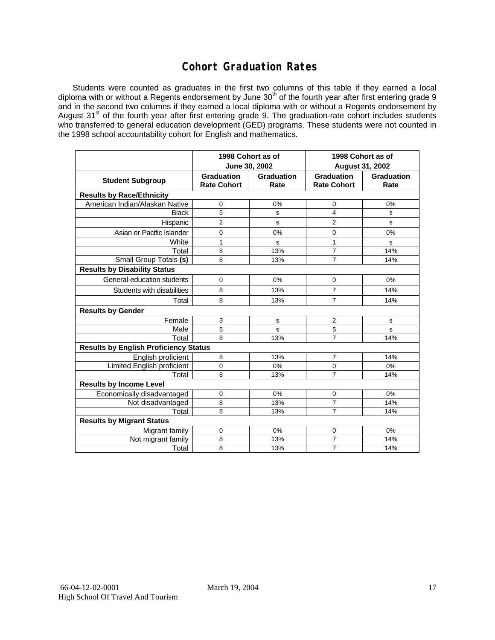### **Cohort Graduation Rates**

Students were counted as graduates in the first two columns of this table if they earned a local diploma with or without a Regents endorsement by June 30<sup>th</sup> of the fourth year after first entering grade 9 and in the second two columns if they earned a local diploma with or without a Regents endorsement by August 31<sup>st</sup> of the fourth year after first entering grade 9. The graduation-rate cohort includes students who transferred to general education development (GED) programs. These students were not counted in the 1998 school accountability cohort for English and mathematics.

|                                              | June 30, 2002                           | 1998 Cohort as of         | 1998 Cohort as of<br><b>August 31, 2002</b> |                           |  |  |  |  |  |
|----------------------------------------------|-----------------------------------------|---------------------------|---------------------------------------------|---------------------------|--|--|--|--|--|
| <b>Student Subgroup</b>                      | <b>Graduation</b><br><b>Rate Cohort</b> | <b>Graduation</b><br>Rate | Graduation<br><b>Rate Cohort</b>            | <b>Graduation</b><br>Rate |  |  |  |  |  |
| <b>Results by Race/Ethnicity</b>             |                                         |                           |                                             |                           |  |  |  |  |  |
| American Indian/Alaskan Native               | 0                                       | 0%                        | 0                                           | 0%                        |  |  |  |  |  |
| <b>Black</b>                                 | 5                                       | s                         | 4                                           | s                         |  |  |  |  |  |
| Hispanic                                     | $\overline{2}$                          | s                         | $\overline{2}$                              | s                         |  |  |  |  |  |
| Asian or Pacific Islander                    | $\mathbf 0$                             | 0%                        | $\mathbf 0$                                 | 0%                        |  |  |  |  |  |
| White                                        | 1                                       | s                         | 1                                           | s                         |  |  |  |  |  |
| Total                                        | 8                                       | 13%                       | $\overline{7}$                              | 14%                       |  |  |  |  |  |
| Small Group Totals (s)                       | 8                                       | 13%                       | $\overline{7}$                              | 14%                       |  |  |  |  |  |
| <b>Results by Disability Status</b>          |                                         |                           |                                             |                           |  |  |  |  |  |
| General-education students                   | $\mathbf 0$                             | 0%                        | 0                                           | 0%                        |  |  |  |  |  |
| Students with disabilities                   | 8                                       | 13%                       | $\overline{7}$                              | 14%                       |  |  |  |  |  |
| Total                                        | 8                                       | 13%                       | $\overline{7}$                              | 14%                       |  |  |  |  |  |
| <b>Results by Gender</b>                     |                                         |                           |                                             |                           |  |  |  |  |  |
| Female                                       | 3                                       | s                         | $\overline{c}$                              | s                         |  |  |  |  |  |
| Male                                         | 5                                       | s                         | 5                                           | s                         |  |  |  |  |  |
| Total                                        | 8                                       | 13%                       | $\overline{7}$                              | 14%                       |  |  |  |  |  |
| <b>Results by English Proficiency Status</b> |                                         |                           |                                             |                           |  |  |  |  |  |
| English proficient                           | 8                                       | 13%                       | 7                                           | 14%                       |  |  |  |  |  |
| <b>Limited English proficient</b>            | $\mathbf 0$                             | 0%                        | 0                                           | 0%                        |  |  |  |  |  |
| Total                                        | 8                                       | 13%                       | $\overline{7}$                              | 14%                       |  |  |  |  |  |
| <b>Results by Income Level</b>               |                                         |                           |                                             |                           |  |  |  |  |  |
| Economically disadvantaged                   | 0                                       | 0%                        | 0                                           | 0%                        |  |  |  |  |  |
| Not disadvantaged                            | 8                                       | 13%                       | $\overline{7}$                              | 14%                       |  |  |  |  |  |
| Total                                        | 8                                       | 13%                       | $\overline{7}$                              | 14%                       |  |  |  |  |  |
| <b>Results by Migrant Status</b>             |                                         |                           |                                             |                           |  |  |  |  |  |
| Migrant family                               | 0                                       | 0%                        | 0                                           | $0\%$                     |  |  |  |  |  |
| Not migrant family                           | 8                                       | 13%                       | $\overline{7}$                              | 14%                       |  |  |  |  |  |
| Total                                        | 8                                       | 13%                       | $\overline{7}$                              | 14%                       |  |  |  |  |  |